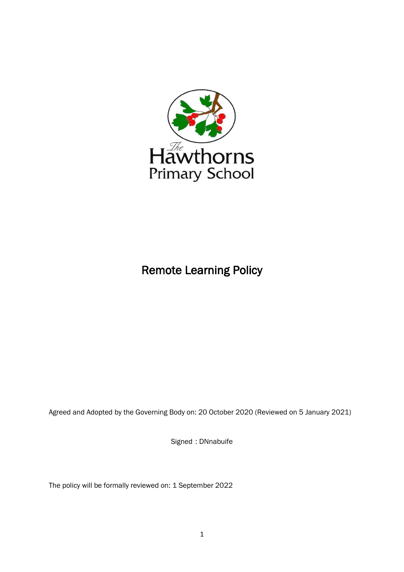

# Remote Learning Policy

Agreed and Adopted by the Governing Body on: 20 October 2020 (Reviewed on 5 January 2021)

Signed : DNnabuife

The policy will be formally reviewed on: 1 September 2022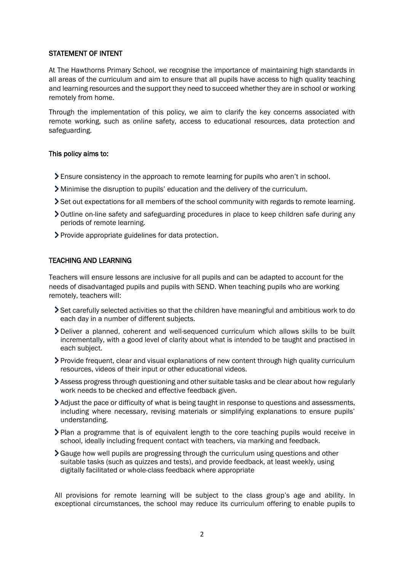#### STATEMENT OF INTENT

At The Hawthorns Primary School, we recognise the importance of maintaining high standards in all areas of the curriculum and aim to ensure that all pupils have access to high quality teaching and learning resources and the support they need to succeed whether they are in school or working remotely from home.

Through the implementation of this policy, we aim to clarify the key concerns associated with remote working, such as online safety, access to educational resources, data protection and safeguarding.

## This policy aims to:

- Ensure consistency in the approach to remote learning for pupils who aren't in school.
- Minimise the disruption to pupils' education and the delivery of the curriculum.
- Set out expectations for all members of the school community with regards to remote learning.
- Outline on-line safety and safeguarding procedures in place to keep children safe during any periods of remote learning.
- Provide appropriate guidelines for data protection.

## TEACHING AND LEARNING

Teachers will ensure lessons are inclusive for all pupils and can be adapted to account for the needs of disadvantaged pupils and pupils with SEND. When teaching pupils who are working remotely, teachers will:

- Set carefully selected activities so that the children have meaningful and ambitious work to do each day in a number of different subjects.
- Deliver a planned, coherent and well-sequenced curriculum which allows skills to be built incrementally, with a good level of clarity about what is intended to be taught and practised in each subject.
- Provide frequent, clear and visual explanations of new content through high quality curriculum resources, videos of their input or other educational videos.
- Assess progress through questioning and other suitable tasks and be clear about how regularly work needs to be checked and effective feedback given.
- Adjust the pace or difficulty of what is being taught in response to questions and assessments, including where necessary, revising materials or simplifying explanations to ensure pupils' understanding.
- Plan a programme that is of equivalent length to the core teaching pupils would receive in school, ideally including frequent contact with teachers, via marking and feedback.
- Gauge how well pupils are progressing through the curriculum using questions and other suitable tasks (such as quizzes and tests), and provide feedback, at least weekly, using digitally facilitated or whole-class feedback where appropriate

All provisions for remote learning will be subject to the class group's age and ability. In exceptional circumstances, the school may reduce its curriculum offering to enable pupils to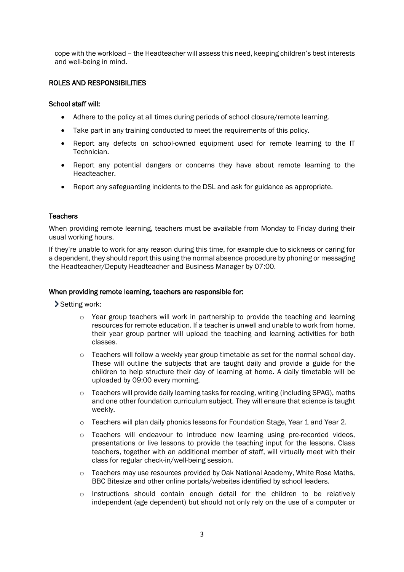cope with the workload – the Headteacher will assess this need, keeping children's best interests and well-being in mind.

## ROLES AND RESPONSIBILITIES

## School staff will:

- Adhere to the policy at all times during periods of school closure/remote learning.
- Take part in any training conducted to meet the requirements of this policy.
- Report any defects on school-owned equipment used for remote learning to the IT Technician.
- Report any potential dangers or concerns they have about remote learning to the Headteacher.
- Report any safeguarding incidents to the DSL and ask for guidance as appropriate.

## **Teachers**

When providing remote learning, teachers must be available from Monday to Friday during their usual working hours.

If they're unable to work for any reason during this time, for example due to sickness or caring for a dependent, they should report this using the normal absence procedure by phoning or messaging the Headteacher/Deputy Headteacher and Business Manager by 07:00.

#### When providing remote learning, teachers are responsible for:

Setting work:

- $\circ$  Year group teachers will work in partnership to provide the teaching and learning resources for remote education. If a teacher is unwell and unable to work from home, their year group partner will upload the teaching and learning activities for both classes.
- $\circ$  Teachers will follow a weekly year group timetable as set for the normal school day. These will outline the subjects that are taught daily and provide a guide for the children to help structure their day of learning at home. A daily timetable will be uploaded by 09:00 every morning.
- $\circ$  Teachers will provide daily learning tasks for reading, writing (including SPAG), maths and one other foundation curriculum subject. They will ensure that science is taught weekly.
- $\circ$  Teachers will plan daily phonics lessons for Foundation Stage, Year 1 and Year 2.
- o Teachers will endeavour to introduce new learning using pre-recorded videos, presentations or live lessons to provide the teaching input for the lessons. Class teachers, together with an additional member of staff, will virtually meet with their class for regular check-in/well-being session.
- $\circ$  Teachers may use resources provided by Oak National Academy, White Rose Maths, BBC Bitesize and other online portals/websites identified by school leaders.
- $\circ$  Instructions should contain enough detail for the children to be relatively independent (age dependent) but should not only rely on the use of a computer or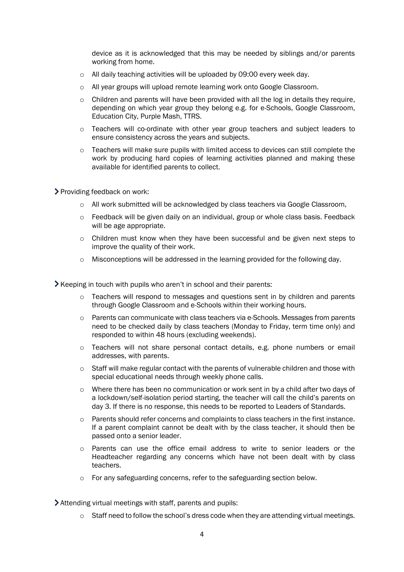device as it is acknowledged that this may be needed by siblings and/or parents working from home.

- o All daily teaching activities will be uploaded by 09:00 every week day.
- o All year groups will upload remote learning work onto Google Classroom.
- $\circ$  Children and parents will have been provided with all the log in details they require, depending on which year group they belong e.g. for e-Schools, Google Classroom, Education City, Purple Mash, TTRS.
- o Teachers will co-ordinate with other year group teachers and subject leaders to ensure consistency across the years and subjects.
- $\circ$  Teachers will make sure pupils with limited access to devices can still complete the work by producing hard copies of learning activities planned and making these available for identified parents to collect.

Providing feedback on work:

- o All work submitted will be acknowledged by class teachers via Google Classroom,
- $\circ$  Feedback will be given daily on an individual, group or whole class basis. Feedback will be age appropriate.
- o Children must know when they have been successful and be given next steps to improve the quality of their work.
- $\circ$  Misconceptions will be addressed in the learning provided for the following day.

 $\blacktriangleright$  Keeping in touch with pupils who aren't in school and their parents:

- o Teachers will respond to messages and questions sent in by children and parents through Google Classroom and e-Schools within their working hours.
- $\circ$  Parents can communicate with class teachers via e-Schools. Messages from parents need to be checked daily by class teachers (Monday to Friday, term time only) and responded to within 48 hours (excluding weekends).
- o Teachers will not share personal contact details, e.g. phone numbers or email addresses, with parents.
- $\circ$  Staff will make regular contact with the parents of vulnerable children and those with special educational needs through weekly phone calls.
- o Where there has been no communication or work sent in by a child after two days of a lockdown/self-isolation period starting, the teacher will call the child's parents on day 3. If there is no response, this needs to be reported to Leaders of Standards.
- o Parents should refer concerns and complaints to class teachers in the first instance. If a parent complaint cannot be dealt with by the class teacher, it should then be passed onto a senior leader.
- o Parents can use the office email address to write to senior leaders or the Headteacher regarding any concerns which have not been dealt with by class teachers.
- o For any safeguarding concerns, refer to the safeguarding section below.

Attending virtual meetings with staff, parents and pupils:

 $\circ$  Staff need to follow the school's dress code when they are attending virtual meetings.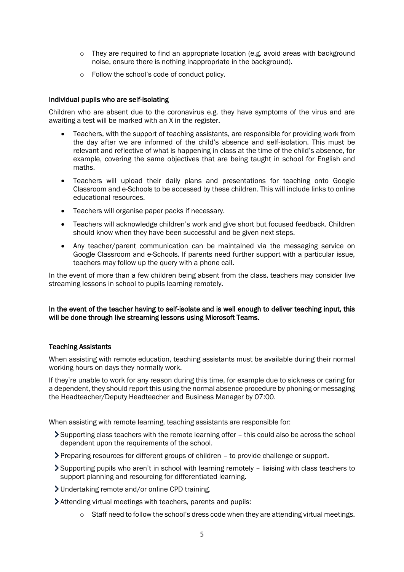- $\circ$  They are required to find an appropriate location (e.g. avoid areas with background noise, ensure there is nothing inappropriate in the background).
- o Follow the school's code of conduct policy.

## Individual pupils who are self-isolating

Children who are absent due to the coronavirus e.g. they have symptoms of the virus and are awaiting a test will be marked with an X in the register.

- Teachers, with the support of teaching assistants, are responsible for providing work from the day after we are informed of the child's absence and self-isolation. This must be relevant and reflective of what is happening in class at the time of the child's absence, for example, covering the same objectives that are being taught in school for English and maths.
- Teachers will upload their daily plans and presentations for teaching onto Google Classroom and e-Schools to be accessed by these children. This will include links to online educational resources.
- Teachers will organise paper packs if necessary.
- Teachers will acknowledge children's work and give short but focused feedback. Children should know when they have been successful and be given next steps.
- Any teacher/parent communication can be maintained via the messaging service on Google Classroom and e-Schools. If parents need further support with a particular issue, teachers may follow up the query with a phone call.

In the event of more than a few children being absent from the class, teachers may consider live streaming lessons in school to pupils learning remotely.

## In the event of the teacher having to self-isolate and is well enough to deliver teaching input, this will be done through live streaming lessons using Microsoft Teams.

#### Teaching Assistants

When assisting with remote education, teaching assistants must be available during their normal working hours on days they normally work.

If they're unable to work for any reason during this time, for example due to sickness or caring for a dependent, they should report this using the normal absence procedure by phoning or messaging the Headteacher/Deputy Headteacher and Business Manager by 07:00.

When assisting with remote learning, teaching assistants are responsible for:

- Supporting class teachers with the remote learning offer this could also be across the school dependent upon the requirements of the school.
- Preparing resources for different groups of children to provide challenge or support.
- Supporting pupils who aren't in school with learning remotely liaising with class teachers to support planning and resourcing for differentiated learning.
- Undertaking remote and/or online CPD training.
- Attending virtual meetings with teachers, parents and pupils:
	- $\circ$  Staff need to follow the school's dress code when they are attending virtual meetings.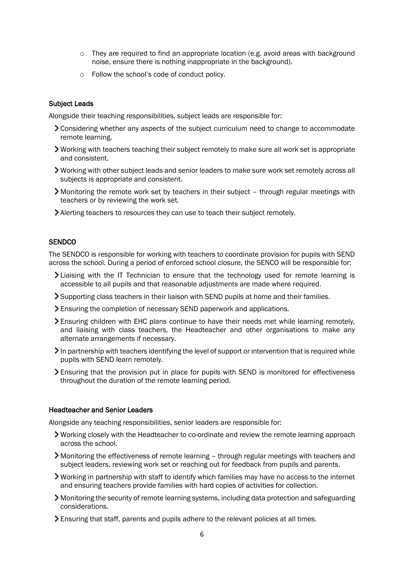- $\circ$  They are required to find an appropriate location (e.g. avoid areas with background noise, ensure there is nothing inappropriate in the background).
- o Follow the school's code of conduct policy.

#### Subject Leads

Alongside their teaching responsibilities, subject leads are responsible for:

- Considering whether any aspects of the subject curriculum need to change to accommodate remote learning.
- Working with teachers teaching their subject remotely to make sure all work set is appropriate and consistent.
- Working with other subject leads and senior leaders to make sure work set remotely across all subjects is appropriate and consistent.
- Monitoring the remote work set by teachers in their subject through regular meetings with teachers or by reviewing the work set.
- Alerting teachers to resources they can use to teach their subject remotely.

#### **SENDCO**

The SENDCO is responsible for working with teachers to coordinate provision for pupils with SEND across the school. During a period of enforced school closure, the SENCO will be responsible for:

- Liaising with the IT Technician to ensure that the technology used for remote learning is accessible to all pupils and that reasonable adjustments are made where required.
- Supporting class teachers in their liaison with SEND pupils at home and their families.
- Ensuring the completion of necessary SEND paperwork and applications.
- Ensuring children with EHC plans continue to have their needs met while learning remotely, and liaising with class teachers, the Headteacher and other organisations to make any alternate arrangements if necessary.
- In partnership with teachers identifying the level of support or intervention that is required while pupils with SEND learn remotely.
- Ensuring that the provision put in place for pupils with SEND is monitored for effectiveness throughout the duration of the remote learning period.

#### Headteacher and Senior Leaders

Alongside any teaching responsibilities, senior leaders are responsible for:

- Working closely with the Headteacher to co-ordinate and review the remote learning approach across the school.
- Monitoring the effectiveness of remote learning through regular meetings with teachers and subject leaders, reviewing work set or reaching out for feedback from pupils and parents.
- Working in partnership with staff to identify which families may have no access to the internet and ensuring teachers provide families with hard copies of activities for collection.
- Monitoring the security of remote learning systems, including data protection and safeguarding considerations.
- Ensuring that staff, parents and pupils adhere to the relevant policies at all times.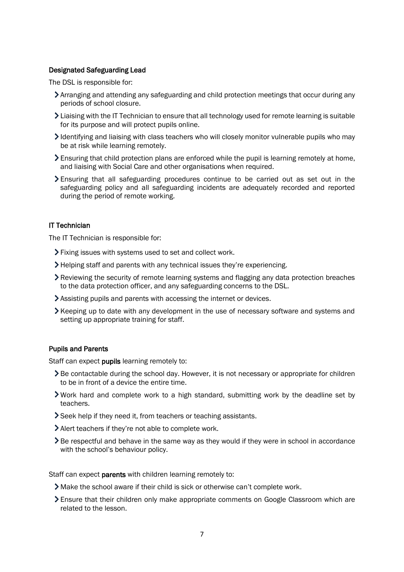#### Designated Safeguarding Lead

The DSL is responsible for:

- Arranging and attending any safeguarding and child protection meetings that occur during any periods of school closure.
- Liaising with the IT Technician to ensure that all technology used for remote learning is suitable for its purpose and will protect pupils online.
- $\blacktriangleright$  Identifying and liaising with class teachers who will closely monitor vulnerable pupils who may be at risk while learning remotely.
- Ensuring that child protection plans are enforced while the pupil is learning remotely at home, and liaising with Social Care and other organisations when required.
- Ensuring that all safeguarding procedures continue to be carried out as set out in the safeguarding policy and all safeguarding incidents are adequately recorded and reported during the period of remote working.

## IT Technician

The IT Technician is responsible for:

- Fixing issues with systems used to set and collect work.
- Helping staff and parents with any technical issues they're experiencing.
- Reviewing the security of remote learning systems and flagging any data protection breaches to the data protection officer, and any safeguarding concerns to the DSL.
- Assisting pupils and parents with accessing the internet or devices.
- Xeeping up to date with any development in the use of necessary software and systems and setting up appropriate training for staff.

#### Pupils and Parents

Staff can expect **pupils** learning remotely to:

- $\geq$  Be contactable during the school day. However, it is not necessary or appropriate for children to be in front of a device the entire time.
- Work hard and complete work to a high standard, submitting work by the deadline set by teachers.
- Seek help if they need it, from teachers or teaching assistants.
- Alert teachers if they're not able to complete work.
- Be respectful and behave in the same way as they would if they were in school in accordance with the school's behaviour policy.

Staff can expect **parents** with children learning remotely to:

- Make the school aware if their child is sick or otherwise can't complete work.
- Ensure that their children only make appropriate comments on Google Classroom which are related to the lesson.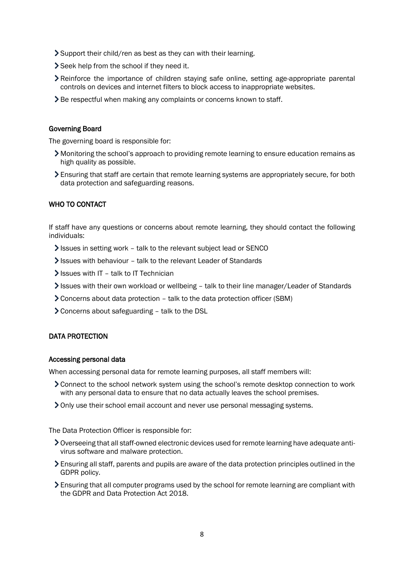- Support their child/ren as best as they can with their learning.
- Seek help from the school if they need it.
- Reinforce the importance of children staying safe online, setting age-appropriate parental controls on devices and internet filters to block access to inappropriate websites.
- > Be respectful when making any complaints or concerns known to staff.

#### Governing Board

The governing board is responsible for:

- Monitoring the school's approach to providing remote learning to ensure education remains as high quality as possible.
- Ensuring that staff are certain that remote learning systems are appropriately secure, for both data protection and safeguarding reasons.

#### WHO TO CONTACT

If staff have any questions or concerns about remote learning, they should contact the following individuals:

- Issues in setting work talk to the relevant subject lead or SENCO
- Issues with behaviour talk to the relevant Leader of Standards
- $\blacktriangleright$  Issues with IT talk to IT Technician
- Issues with their own workload or wellbeing talk to their line manager/Leader of Standards
- Concerns about data protection talk to the data protection officer (SBM)
- Concerns about safeguarding talk to the DSL

#### DATA PROTECTION

#### Accessing personal data

When accessing personal data for remote learning purposes, all staff members will:

- Connect to the school network system using the school's remote desktop connection to work with any personal data to ensure that no data actually leaves the school premises.
- Only use their school email account and never use personal messaging systems.

The Data Protection Officer is responsible for:

- Overseeing that all staff-owned electronic devices used for remote learning have adequate antivirus software and malware protection.
- Ensuring all staff, parents and pupils are aware of the data protection principles outlined in the GDPR policy.
- Ensuring that all computer programs used by the school for remote learning are compliant with the GDPR and Data Protection Act 2018.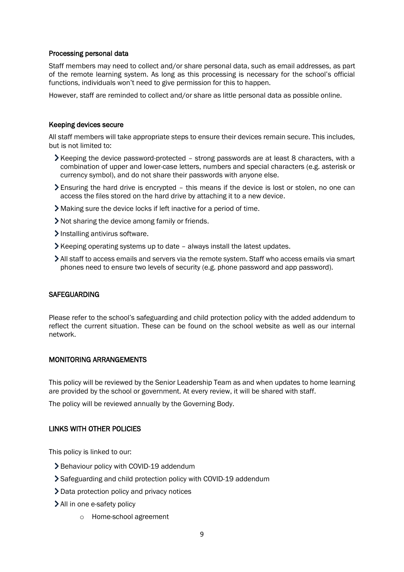#### Processing personal data

Staff members may need to collect and/or share personal data, such as email addresses, as part of the remote learning system. As long as this processing is necessary for the school's official functions, individuals won't need to give permission for this to happen.

However, staff are reminded to collect and/or share as little personal data as possible online.

#### Keeping devices secure

All staff members will take appropriate steps to ensure their devices remain secure. This includes, but is not limited to:

- $\blacktriangleright$  Keeping the device password-protected strong passwords are at least 8 characters, with a combination of upper and lower-case letters, numbers and special characters (e.g. asterisk or currency symbol), and do not share their passwords with anyone else.
- Ensuring the hard drive is encrypted this means if the device is lost or stolen, no one can access the files stored on the hard drive by attaching it to a new device.
- Making sure the device locks if left inactive for a period of time.
- Not sharing the device among family or friends.
- Installing antivirus software.
- $\blacktriangleright$  Keeping operating systems up to date always install the latest updates.
- All staff to access emails and servers via the remote system. Staff who access emails via smart phones need to ensure two levels of security (e.g. phone password and app password).

#### **SAFEGUARDING**

Please refer to the school's safeguarding and child protection policy with the added addendum to reflect the current situation. These can be found on the school website as well as our internal network.

#### MONITORING ARRANGEMENTS

This policy will be reviewed by the Senior Leadership Team as and when updates to home learning are provided by the school or government. At every review, it will be shared with staff.

The policy will be reviewed annually by the Governing Body.

## LINKS WITH OTHER POLICIES

This policy is linked to our:

- > Behaviour policy with COVID-19 addendum
- Safeguarding and child protection policy with COVID-19 addendum
- **>** Data protection policy and privacy notices
- > All in one e-safety policy
	- o Home-school agreement